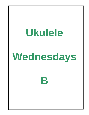# **Ukulele**

# **Wednesdays**

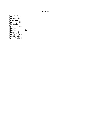# **Contents**

[Back For Good](#page-2-0) [Bad Moon Rising](#page-4-0) [Be My Baby](#page-5-0) [Because the Night](#page-6-0) [The Bends](#page-8-0) [Beyond the Sea](#page-10-0) [Blue Moon](#page-11-0) [Blue Moon of Kentucky](#page-13-0) [Blueberry Hill](#page-14-0) [Born To Be Wild](#page-15-0) [Brand New Key](#page-16-0) Brown [-Eyed Girl](#page-18-0)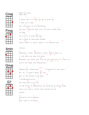<span id="page-2-0"></span>

 $F$  C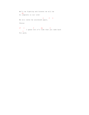```
We'll be fighting and forever we will be
  Am
So complete in our love-
G F G
We will never be uncovered again. 
Chorus
G7 C F Am G
 I guess now it's time that you came back
C
For good.
```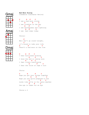





<span id="page-4-0"></span>**Bad Moon Rising** Creedence Clearwater Revival **C G F C** I see a bad moon rising **G F C** I see troubles on the way **G F C** I see earthquakes and lightning **G F C** I see bad times today

Chorus:

 **F** Well don't go round tonight,  **C** it's bound to take your life **G F C** There's a bad moon on the rise

**C G F C** I hear hurricanes blowing  **G F C** I know the end is coming soon **G F C** I feel rivers overflowing **G F C** I hear the voice of rage & ruin

# Chorus

**C G F C** Hope you got your things together **G F C** Hope you are quite prepared to die **G F** C Looks like we're in for nasty weather  **G F C** One eye is taken for an eye

Chorus x 2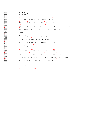```
Ronettes 
G Em Am D7
The night we met I knew I needed you so.
G Em Em Am D7
And if I had the chance I'd never let you go:
Bm Executive Executive Executive Executive Executive Executive Executive Executive Executive Executive Executive Executive Executive Executive Executive Executive Executive Executive Executive Executive Executive Executiv
So won't you say you love me; I'll make you so proud of me.
A D D7
We'll make them turn their heads every place we go
Chorus
General Control Control Control Control Co
So won't you please (Be my be my ...)
                Em
Be my little baby (My one and only...)
            C
Say you'll be my darlin' (Be my be my...)
            D D7
Be my baby now. Oh ho ho ho
G Em Am D7
I'll make you happy baby just wait and see.
G Em Em Am D7
For every kiss you give me, I'll give you three:
Bm Experiment and the second second second second second second second second second second second second second second second second second second second second second second second second second second second second seco
Oh since the day I saw you, I have been waiting for you,
A D D7
You know I will adore you till eternity
```
Chorus x2

<span id="page-5-0"></span>**Be My Baby**

G Em C D D7 G

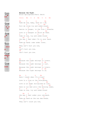









#### <span id="page-6-0"></span>**Because the Night**

Bruce Springsteen/Patti Smith

Intro Bm G A Bm G A Bm

| <b>Bm</b>                        | G                                        | A      | <b>Bm</b> |  |
|----------------------------------|------------------------------------------|--------|-----------|--|
|                                  | Take me now, baby, here as I am.         |        |           |  |
|                                  | G                                        | A      | <b>Bm</b> |  |
|                                  | Pull me close try and under-stand.       |        |           |  |
|                                  | G                                        | A      | <b>Bm</b> |  |
|                                  | Desire is hunger, is the fire I breathe. |        |           |  |
|                                  | G                                        | A      | <b>Bm</b> |  |
|                                  | Love is a banquet on which we feed.      |        |           |  |
| G                                | A                                        | A<br>D |           |  |
| Come on now, try and under-stand |                                          |        |           |  |
| <b>Bm</b>                        | G                                        |        | A         |  |
|                                  | the way I feel when I'm in your hand.    |        |           |  |
| D.                               | G                                        | A      |           |  |
| Take my hand; come under cover.  |                                          |        |           |  |
| C                                |                                          |        |           |  |
| They can't hurt you now,         |                                          |        |           |  |
| <b>Bm</b>                        |                                          |        |           |  |
| can't hurt you now,              |                                          |        |           |  |
| F#                               |                                          |        |           |  |
|                                  |                                          |        |           |  |

Bm  $G$  A Because the night belongs to lovers. Bm G A Bm Because the night belongs to lust.  $G$  and  $A$ Because the night belongs to lovers. Bm G A Bm Because the night belongs to us.

Bm G A Bm Have I doubt when I'm a-lone? G A Bm Love is a ring on the tele-phone. G A Bm Love is an angel dis-guised as lust, G A Bm here in our bed until the morning comes. G A D A Come on now, try and under-stand

Bm G A the way I feel under your com-mand. D G A Take my hand as the sun des-cends. **C** They can't touch you now,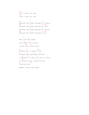Bm can't touch you now,  $F#$ can't touch you now.

Bm  $G$   $A$ Because the night belongs to lovers. Bm G A Bm Because the night belongs to lust. G A Because the night belongs to lovers. Bm G A Bm Because the night belongs to us.

 D A With love we sleep; D A with doubt the vicious Bm A circle turns and turns.

D A Bm Without you I cannot live, A D A forgive the yearning, burning G D G I believe in time, too real to feel, Bm D so touch me now, touch me now, G and  $\overline{F}$  and  $\overline{F}$  and  $\overline{F}$  and  $\overline{F}$  and  $\overline{F}$  and  $\overline{F}$  and  $\overline{F}$  and  $\overline{F}$  and  $\overline{F}$  and  $\overline{F}$  and  $\overline{F}$  and  $\overline{F}$  and  $\overline{F}$  and  $\overline{F}$  and  $\overline{F}$  and  $\overline{F}$  and  $\overline{F}$ Touch me now.

Repeat chorus and fade.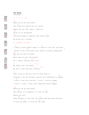## <span id="page-8-0"></span>**The Bends**

Radiohead

#### D C G C x2

 $E-$ Where do we go from here? G The words are coming out all weird **CONTRACTOR** Where are you now, when I need you  $E-$ Alone on an aeroplane G C

Falling asleep on against the window pane

My blood will thicken

## A [+riff] C [+riff]

# E – George Contract of the Contract of the Contract of the Contract of the Contract of G I need to wash myself again to hide all the dirt and pain c7 D 'Cause I'd be s[C7]cared that there's nothing underneath  $E-$ Who are my real friends? G Have they all got the bends? C<sub>7</sub> Am I really sinking this low?

D C G C D My baby's got the bends C G C We don't have any real friends

#### $A-$

Just lying in the bar with my drip feed on  $\mathbf{E}-\mathbf{E}$ Talking to my girlfriend, waiting for something to happen  $A-$ I wish it was the sixties, I wish I could be happy **C** and the contract of the contract of the contract of the contract of the contract of the contract of the contract of the contract of the contract of the contract of the contract of the contract of the contract of the co I wish, I wish, I wish that something would happen  $E-$ Where do we go from here? G CONTROL CONTROL CONTROL CONTROL CONTROL CONTROL CONTROL CONTROL CONTROL CONTROL CONTROL CONTROL CONTROL CONTROL CONTROL CONTROL CONTROL CONTROL CONTROL CONTROL CONTROL CONTROL CONTROL CONTROL CONTROL CONTROL CONTROL CONT The planet is a gunboat in a sea of fear Where are you? E – Godine i Santa Godine i Santa Godine i Santa Godine i Santa Godine i Santa Godine i Santa Godine i Santa G They brought in the CIA, the tanks and the whole marines C<sub>2</sub> C<sub>2</sub> C<sub>7</sub> To blow me away, to blow me sky high





Gmaj

Edim Ŧ ▦



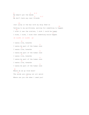D C G C My baby's got the bends D C G C We don't have any real friends  $A-$ Just lying in the bar with my drip feed on  $\mathbf{E}-\mathbf{E}$ Talking to my girlfriend, waiting for something to happen  $A-$ I wish it was the sixties, I wish I could be happy **C** and the contract of the contract of the contract of the contract of the contract of the contract of the contract of the contract of the contract of the contract of the contract of the contract of the contract of the co I wish, I wish, I wish that something would happen [G +riff] [C +riff] x2 G I wanna live, breathe **C** CONTROLLER CONTROLLER CONTROLLER CONTROLLER CONTROLLER CONTROLLER CONTROLLER CONTROLLER CONTROLLER CONTROLLER CONTROLLER CONTROLLER CONTROLLER CONTROLLER CONTROLLER CONTROLLER CONTROLLER CONTROLLER CONTROLLER CONTROLLE I wanna be part of the human race G I wanna live, breathe **C** CONTROLLER CONTROLLER CONTROLLER CONTROLLER CONTROLLER CONTROLLER CONTROLLER CONTROLLER CONTROLLER CONTROLLER CONTROLLER CONTROLLER CONTROLLER CONTROLLER CONTROLLER CONTROLLER CONTROLLER CONTROLLER CONTROLLER CONTROLLE I wanna be part of the human race **Grand** Grand Grand Grand Grand Grand Grand Grand Grand Grand Grand Grand Grand Grand Grand Grand Grand Grand G I wanna live, breathe **C** CONTROLLER CONTROLLER CONTROLLER CONTROLLER CONTROLLER CONTROLLER CONTROLLER CONTROLLER CONTROLLER CONTROLLER CONTROLLER CONTROLLER CONTROLLER CONTROLLER CONTROLLER CONTROLLER CONTROLLER CONTROLLER CONTROLLER CONTROLLE I wanna be part of the human race **Grand** Grand Grand Grand Grand Grand Grand Grand Grand Grand Grand Grand Grand Grand Grand Grand Grand Grand G I wanna live, breathe **C** CONTROLLER CONTROLLER CONTROLLER CONTROLLER CONTROLLER CONTROLLER CONTROLLER CONTROLLER CONTROLLER CONTROLLER CONTROLLER CONTROLLER CONTROLLER CONTROLLER CONTROLLER CONTROLLER CONTROLLER CONTROLLER CONTROLLER CONTROLLE I wanna be part of the human race  $E-$ Where do we go from here? G The words are coming out all weird **CONTRACTOR** Where are you now when I need you?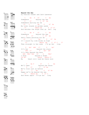



F









C#









<span id="page-10-0"></span>**Beyond the Sea**  by Charles Trenet and Jack Lawrence

 C Am F G7 C Am Somewhere beyond the sea F G7 C E7 Am Somewhere waiting for me G7 C Am F A7 Dm My lover stands on golden sands G7 G#dim Am F D7 G7 And watches the ships that go Sail ing

 C Am F G7 C Am Somewhere beyond the sea F G7 C E7 Am She's there watching for me G7 C Am F A7 Dm If I could fly like birds on high G7 G#dim Am F G7 C C7 Then straight to her arms I'd go Sai ling

 F Dm7 A#6 C7 F Dm7 It's far beyond the stars A#6 C7 F Dm7 D#7 It's near beyond the moon A#6 F#m7 Dm6 E7 A F#m7 I know beyond a doubt C# D#7 D#dim G#dim G7 My heart will lead me there soon

C Am F G7 C Am We'll meet beyond the shore F G7 C E7 Am We'll kiss just as before G7 C Am F A7 Dm Happy we'll be beyond the sea G7 G#dim Am F G7 C And never again I'd go sai ling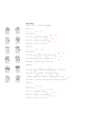

F

G

Fmin

Fm7

Bb7

Eb















<span id="page-11-0"></span>**Blue Moon**  Lorenz Hart & Richard Rodgers

Verse 1:

# G7 C Am7 Dm7

Blue moon, G7 C Am7 Dm7 You saw me standing alone D7 Cm7 Am7 D7 Without a dream in my heart, F C Am7 Dm7 Without a love of my own.

Verse 2:

G7 C Am7 Dm7 Blue moon,

 G7 C Am7 Dm7 You knew just what I was there for, D7 Cm7 Am7 D7 You heard me saying a prayer for F G C F Fm C Someone I really could care for.

Bridge:

Dm7 G7 C And then there suddenly appeared be - fore me Dm7 G7 C The only one my heart could ever hold; Fm7 Bb7 Eb I heard somebody whisper, "Please adore me." G D7 G D7 G7 And when I looked, the moon had turned to gold.

Verse 3:

```
G7 C Am7 Dm7
Blue moon, 
       G7 C Am7 Dm7
Now I'm no longer alone 
    D7 Cm7 Am7 D7
Without a dream in my heart,
      F C Am7 Dm7
Without a love of my own.
```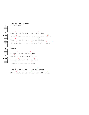#### <span id="page-13-0"></span>**Blue Moon of Kentucky**

by Bill Monroe

 A D Blue moon of Kentucky, keep on shining. A E7 Shine on the one that's gone and proved untrue. A D Blue moon of Kentucky, keep on shining.  $\,$  A  $\,$   $\,$   $\,$  E7  $\,$  A  $\,$  A7 Shine on the one that's gone and left me blue.

## **Chorus:**

D D7 It was on a moonlight night, A A7 The stars were shining bright. D D7 And they whispered from on high, A E7 "Your love has said goodbye."

 A D Blue moon of Kentucky, keep on shining. A B7 B7 Shine on the one that's gone and said goodbye.

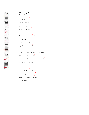

# <span id="page-14-0"></span>**Blueberry Hill**

Fats Domino

 $\mathbf{F}$ I found my thrill **C** On Blueberry Hill G<sub>7</sub> On Blueberry Hill C Where I found you

 $\mathbf{F}$ The moon stood still **C** On Blueberry Hill G<sub>7</sub> And lingered 'til **C** My dreams came true

# G C C

The wind in the willow played G7 C Love's sweet melody B7 Em B7 Em But all of those vows we made B7 E G7 Were never to be

# $\mathbb{F}^+$

Tho' we're apart **C** You're part of me still **G7** For you were my thrill **C** C On BlueBerry Hill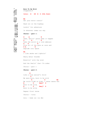<span id="page-15-0"></span>**Born To Be Wild** Steppenwolf **Intro: E C# B D (5th fret) Em** Get your motor runnin' Head out on the highway Lookin' for adventure In whatever comes our way **Chorus - part 1: G A E** Yeah, darlin' gonna make it happen **G A E** Take the world in a love embrace **G A E**  Fire all of the guns at once and **G A E** explode into space **Em** I like smoke and lightnin' Heavy metal thunder Wrestlin' with the wind And the feelin' that I'm under Chorus - part 1 **Chorus - part 2: E** Like a true nature's child  **G** We were born, born to be wild **A** G Em We could climb so high, I never wanna die **E D Dmaj7 D** Born to be wild, **E D Dmaj7 D** Born to be wild, Repeat first verse Chorus - total Solo - fade out (in Em)

Ĥ  $^{\circ}$ 

쭁

 $\overline{D_{\text{maj}}}$ 

Em

ा∙ा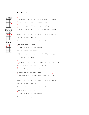#### <span id="page-16-0"></span>**Brand New Key**

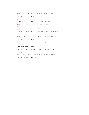C Oh! I got a brand new pair of roller skates You got a brand new key C I asked your mother if you were at home G7 She said, yes .. but you weren't alone C Oh, sometimes I think that you're avoiding me F G7 I'm okay alone, but you've got something I need C Well, I got a brand new pair of roller skates You got a brand new key I think that we should get together and try them out to see F La la la la la la la la, la la la la la la C Oh! I got a brand new pair of roller skates You got a brand new key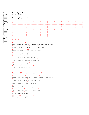<span id="page-18-0"></span>**Brown-Eyed Girl** 

by Van Morrison

# **Intro (play twice):**

| 1 1 1 1 1 1 1 1 1 1 1 1 1 1 1 1 1 |  |
|-----------------------------------|--|
|                                   |  |
|                                   |  |
|                                   |  |
|                                   |  |

# F Bb F C7

F Bb F C7 Hey, where did we go? Days when the rains came F Bb F C7 Down in the hollow playin' a new game F Bb Laughing and  $a - running$ , hey hey, F C7 Skipping and a - jumping F Bb In the misty morning fog with F C7 Bb Our hearts a - thumping and you C7 F Dm My brown-eyed girl Bb C7 F C7 You, my brown-eyed girl

F Bb F C7 Whatever happened to Tuesday and so slow F Bb F C7 Going down the old mine with a transistor radio F Bb Standing in the sunlight laughing F C7 Hiding behind a rainbow's wall F Bb Slipping and a - sliding F C7 Bb All along the waterfall with you C7 F Dm My brown-eyed girl Bb C7 F You, my brown-eyed girl